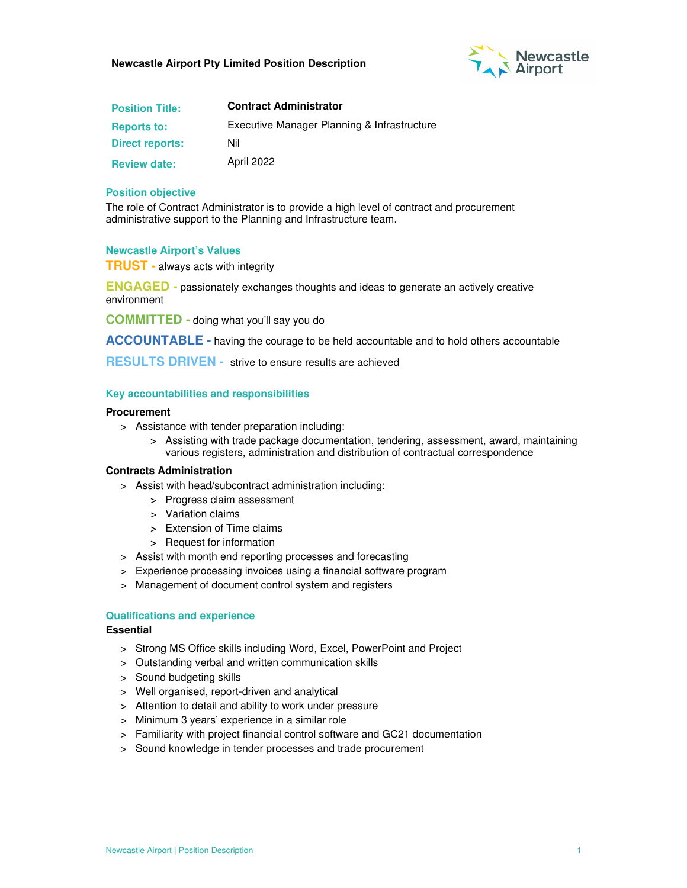

| <b>Position Title:</b> | <b>Contract Administrator</b>               |  |
|------------------------|---------------------------------------------|--|
| <b>Reports to:</b>     | Executive Manager Planning & Infrastructure |  |
| <b>Direct reports:</b> | Nil                                         |  |
| <b>Review date:</b>    | April 2022                                  |  |

#### **Position objective**

The role of Contract Administrator is to provide a high level of contract and procurement administrative support to the Planning and Infrastructure team.

#### **Newcastle Airport's Values**

**TRUST -** always acts with integrity

**ENGAGED -** passionately exchanges thoughts and ideas to generate an actively creative environment

**COMMITTED -** doing what you'll say you do

**ACCOUNTABLE -** having the courage to be held accountable and to hold others accountable

**RESULTS DRIVEN -** strive to ensure results are achieved

## **Key accountabilities and responsibilities**

#### **Procurement**

- > Assistance with tender preparation including:
	- > Assisting with trade package documentation, tendering, assessment, award, maintaining various registers, administration and distribution of contractual correspondence

#### **Contracts Administration**

- > Assist with head/subcontract administration including:
	- > Progress claim assessment
	- > Variation claims
	- > Extension of Time claims
	- > Request for information
- > Assist with month end reporting processes and forecasting
- > Experience processing invoices using a financial software program
- > Management of document control system and registers

## **Qualifications and experience**

#### **Essential**

- > Strong MS Office skills including Word, Excel, PowerPoint and Project
- > Outstanding verbal and written communication skills
- > Sound budgeting skills
- > Well organised, report-driven and analytical
- > Attention to detail and ability to work under pressure
- > Minimum 3 years' experience in a similar role
- > Familiarity with project financial control software and GC21 documentation
- > Sound knowledge in tender processes and trade procurement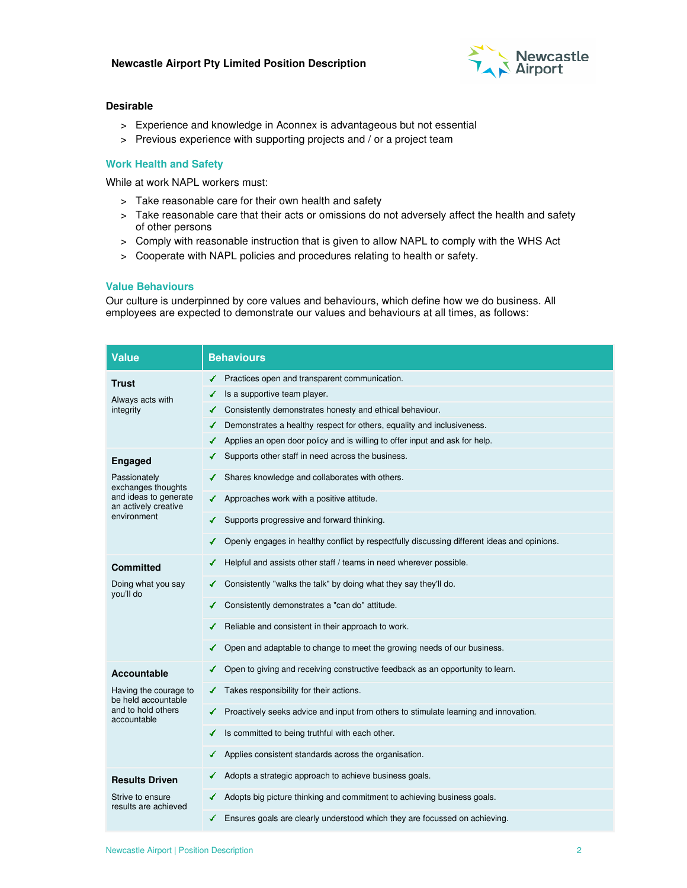

## **Desirable**

- > Experience and knowledge in Aconnex is advantageous but not essential
- > Previous experience with supporting projects and / or a project team

# **Work Health and Safety**

While at work NAPL workers must:

- > Take reasonable care for their own health and safety
- > Take reasonable care that their acts or omissions do not adversely affect the health and safety of other persons
- > Comply with reasonable instruction that is given to allow NAPL to comply with the WHS Act
- > Cooperate with NAPL policies and procedures relating to health or safety.

## **Value Behaviours**

Our culture is underpinned by core values and behaviours, which define how we do business. All employees are expected to demonstrate our values and behaviours at all times, as follows:

| <b>Value</b>                                                                                                                                                          | <b>Behaviours</b>                                                                                                                                                                                                                                                                                                                                                                                                                                                                                                                                                                                             |  |  |
|-----------------------------------------------------------------------------------------------------------------------------------------------------------------------|---------------------------------------------------------------------------------------------------------------------------------------------------------------------------------------------------------------------------------------------------------------------------------------------------------------------------------------------------------------------------------------------------------------------------------------------------------------------------------------------------------------------------------------------------------------------------------------------------------------|--|--|
| <b>Trust</b><br>Always acts with<br>integrity<br><b>Engaged</b><br>Passionately<br>exchanges thoughts<br>and ideas to generate<br>an actively creative<br>environment | Practices open and transparent communication.<br>Is a supportive team player.<br>✔<br>Consistently demonstrates honesty and ethical behaviour.<br>✔<br>Demonstrates a healthy respect for others, equality and inclusiveness.<br>Applies an open door policy and is willing to offer input and ask for help.<br>Supports other staff in need across the business.<br>Shares knowledge and collaborates with others.<br>Approaches work with a positive attitude.<br>Supports progressive and forward thinking.<br>Openly engages in healthy conflict by respectfully discussing different ideas and opinions. |  |  |
| <b>Committed</b><br>Doing what you say<br>you'll do                                                                                                                   | Helpful and assists other staff / teams in need wherever possible.<br>Consistently "walks the talk" by doing what they say they'll do.<br>Consistently demonstrates a "can do" attitude.<br>Reliable and consistent in their approach to work.<br>Open and adaptable to change to meet the growing needs of our business.<br>✓                                                                                                                                                                                                                                                                                |  |  |
| Accountable<br>Having the courage to<br>be held accountable<br>and to hold others<br>accountable                                                                      | Open to giving and receiving constructive feedback as an opportunity to learn.<br>Takes responsibility for their actions.<br>✔<br>Proactively seeks advice and input from others to stimulate learning and innovation.<br>✔<br>Is committed to being truthful with each other.<br>Applies consistent standards across the organisation.                                                                                                                                                                                                                                                                       |  |  |
| <b>Results Driven</b><br>Strive to ensure<br>results are achieved                                                                                                     | Adopts a strategic approach to achieve business goals.<br>✔<br>Adopts big picture thinking and commitment to achieving business goals.<br>Ensures goals are clearly understood which they are focussed on achieving.                                                                                                                                                                                                                                                                                                                                                                                          |  |  |